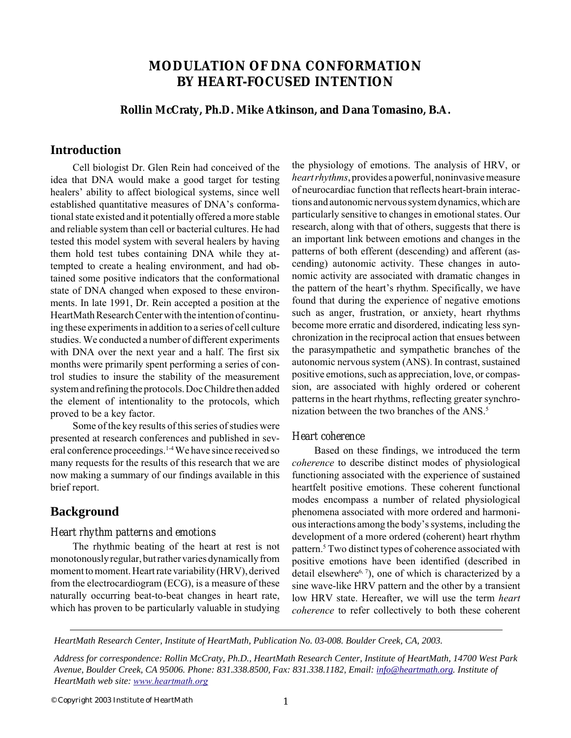# **MODULATION OF DNA CONFORMATION BY HEART-FOCUSED INTENTION**

### **Rollin McCraty, Ph.D. Mike Atkinson, and Dana Tomasino, B.A.**

## **Introduction**

Cell biologist Dr. Glen Rein had conceived of the idea that DNA would make a good target for testing healers' ability to affect biological systems, since well established quantitative measures of DNA's conformational state existed and it potentially offered a more stable and reliable system than cell or bacterial cultures. He had tested this model system with several healers by having them hold test tubes containing DNA while they attempted to create a healing environment, and had obtained some positive indicators that the conformational state of DNA changed when exposed to these environments. In late 1991, Dr. Rein accepted a position at the HeartMath Research Center with the intention of continuing these experiments in addition to a series of cell culture studies. We conducted a number of different experiments with DNA over the next year and a half. The first six months were primarily spent performing a series of control studies to insure the stability of the measurement system and refining the protocols. Doc Childre then added the element of intentionality to the protocols, which proved to be a key factor.

Some of the key results of this series of studies were presented at research conferences and published in several conference proceedings.1-4 We have since received so many requests for the results of this research that we are now making a summary of our findings available in this brief report.

## **Background**

#### *Heart rhythm patterns and emotions*

The rhythmic beating of the heart at rest is not monotonously regular, but rather varies dynamically from moment to moment. Heart rate variability (HRV), derived from the electrocardiogram (ECG), is a measure of these naturally occurring beat-to-beat changes in heart rate, which has proven to be particularly valuable in studying the physiology of emotions. The analysis of HRV, or *heart rhythms*, provides a powerful, noninvasive measure of neurocardiac function that reflects heart-brain interactions and autonomic nervous system dynamics, which are particularly sensitive to changes in emotional states. Our research, along with that of others, suggests that there is an important link between emotions and changes in the patterns of both efferent (descending) and afferent (ascending) autonomic activity. These changes in autonomic activity are associated with dramatic changes in the pattern of the heart's rhythm. Specifically, we have found that during the experience of negative emotions such as anger, frustration, or anxiety, heart rhythms become more erratic and disordered, indicating less synchronization in the reciprocal action that ensues between the parasympathetic and sympathetic branches of the autonomic nervous system (ANS). In contrast, sustained positive emotions, such as appreciation, love, or compassion, are associated with highly ordered or coherent patterns in the heart rhythms, reflecting greater synchronization between the two branches of the ANS.<sup>5</sup>

#### *Heart coherence*

Based on these findings, we introduced the term *coherence* to describe distinct modes of physiological functioning associated with the experience of sustained heartfelt positive emotions. These coherent functional modes encompass a number of related physiological phenomena associated with more ordered and harmonious interactions among the body's systems, including the development of a more ordered (coherent) heart rhythm pattern.<sup>5</sup> Two distinct types of coherence associated with positive emotions have been identified (described in detail elsewhere<sup>6, 7</sup>), one of which is characterized by a sine wave-like HRV pattern and the other by a transient low HRV state. Hereafter, we will use the term *heart coherence* to refer collectively to both these coherent

*HeartMath Research Center, Institute of HeartMath, Publication No. 03-008. Boulder Creek, CA, 2003.*

*Address for correspondence: Rollin McCraty, Ph.D., HeartMath Research Center, Institute of HeartMath, 14700 West Park Avenue, Boulder Creek, CA 95006. Phone: 831.338.8500, Fax: 831.338.1182, Email: info@heartmath.org. Institute of HeartMath web site: www.heartmath.org*

© Copyright 2003 Institute of HeartMath 1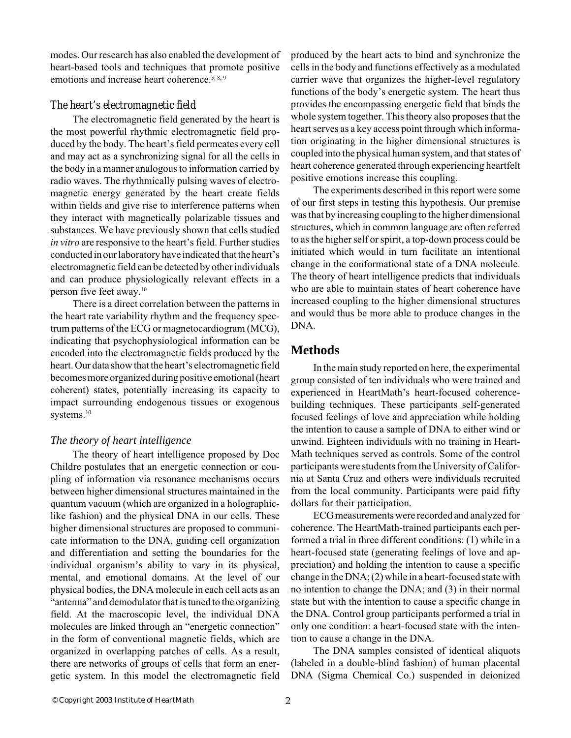modes. Our research has also enabled the development of heart-based tools and techniques that promote positive emotions and increase heart coherence.<sup>5, 8, 9</sup>

#### *The heart's electromagnetic field*

The electromagnetic field generated by the heart is the most powerful rhythmic electromagnetic field produced by the body. The heart's field permeates every cell and may act as a synchronizing signal for all the cells in the body in a manner analogous to information carried by radio waves. The rhythmically pulsing waves of electromagnetic energy generated by the heart create fields within fields and give rise to interference patterns when they interact with magnetically polarizable tissues and substances. We have previously shown that cells studied *in vitro* are responsive to the heart's field. Further studies conducted in our laboratory have indicated that the heart's electromagnetic field can be detected by other individuals and can produce physiologically relevant effects in a person five feet away.10

There is a direct correlation between the patterns in the heart rate variability rhythm and the frequency spectrum patterns of the ECG or magnetocardiogram (MCG), indicating that psychophysiological information can be encoded into the electromagnetic fields produced by the heart. Our data show that the heart's electromagnetic field becomes more organized during positive emotional (heart coherent) states, potentially increasing its capacity to impact surrounding endogenous tissues or exogenous systems.<sup>10</sup>

## *The theory of heart intelligence*

The theory of heart intelligence proposed by Doc Childre postulates that an energetic connection or coupling of information via resonance mechanisms occurs between higher dimensional structures maintained in the quantum vacuum (which are organized in a holographiclike fashion) and the physical DNA in our cells. These higher dimensional structures are proposed to communicate information to the DNA, guiding cell organization and differentiation and setting the boundaries for the individual organism's ability to vary in its physical, mental, and emotional domains. At the level of our physical bodies, the DNA molecule in each cell acts as an "antenna" and demodulator that is tuned to the organizing field. At the macroscopic level, the individual DNA molecules are linked through an "energetic connection" in the form of conventional magnetic fields, which are organized in overlapping patches of cells. As a result, there are networks of groups of cells that form an energetic system. In this model the electromagnetic field

produced by the heart acts to bind and synchronize the cells in the body and functions effectively as a modulated carrier wave that organizes the higher-level regulatory functions of the body's energetic system. The heart thus provides the encompassing energetic field that binds the whole system together. This theory also proposes that the heart serves as a key access point through which information originating in the higher dimensional structures is coupled into the physical human system, and that states of heart coherence generated through experiencing heartfelt positive emotions increase this coupling.

The experiments described in this report were some of our first steps in testing this hypothesis. Our premise was that by increasing coupling to the higher dimensional structures, which in common language are often referred to as the higher self or spirit, a top-down process could be initiated which would in turn facilitate an intentional change in the conformational state of a DNA molecule. The theory of heart intelligence predicts that individuals who are able to maintain states of heart coherence have increased coupling to the higher dimensional structures and would thus be more able to produce changes in the DNA.

## **Methods**

In the main study reported on here, the experimental group consisted of ten individuals who were trained and experienced in HeartMath's heart-focused coherencebuilding techniques. These participants self-generated focused feelings of love and appreciation while holding the intention to cause a sample of DNA to either wind or unwind. Eighteen individuals with no training in Heart-Math techniques served as controls. Some of the control participants were students from the University of California at Santa Cruz and others were individuals recruited from the local community. Participants were paid fifty dollars for their participation.

ECG measurements were recorded and analyzed for coherence. The HeartMath-trained participants each performed a trial in three different conditions: (1) while in a heart-focused state (generating feelings of love and appreciation) and holding the intention to cause a specific change in the DNA; (2) while in a heart-focused state with no intention to change the DNA; and (3) in their normal state but with the intention to cause a specific change in the DNA. Control group participants performed a trial in only one condition: a heart-focused state with the intention to cause a change in the DNA.

The DNA samples consisted of identical aliquots (labeled in a double-blind fashion) of human placental DNA (Sigma Chemical Co.) suspended in deionized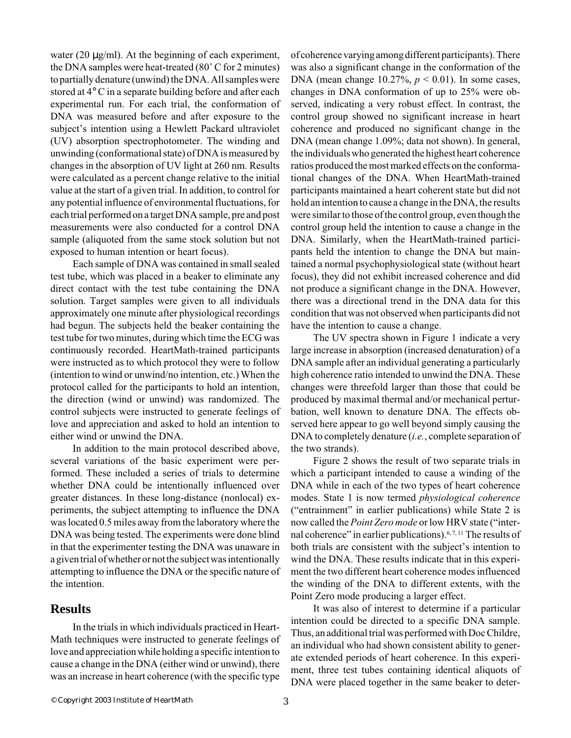water (20  $\mu$ g/ml). At the beginning of each experiment, the DNA samples were heat-treated (80˚ C for 2 minutes) to partially denature (unwind) the DNA. All samples were stored at 4° C in a separate building before and after each experimental run. For each trial, the conformation of DNA was measured before and after exposure to the subject's intention using a Hewlett Packard ultraviolet (UV) absorption spectrophotometer. The winding and unwinding (conformational state) of DNA is measured by changes in the absorption of UV light at 260 nm. Results were calculated as a percent change relative to the initial value at the start of a given trial. In addition, to control for any potential influence of environmental fluctuations, for each trial performed on a target DNA sample, pre and post measurements were also conducted for a control DNA sample (aliquoted from the same stock solution but not exposed to human intention or heart focus).

Each sample of DNA was contained in small sealed test tube, which was placed in a beaker to eliminate any direct contact with the test tube containing the DNA solution. Target samples were given to all individuals approximately one minute after physiological recordings had begun. The subjects held the beaker containing the test tube for two minutes, during which time the ECG was continuously recorded. HeartMath-trained participants were instructed as to which protocol they were to follow (intention to wind or unwind/no intention, etc.) When the protocol called for the participants to hold an intention, the direction (wind or unwind) was randomized. The control subjects were instructed to generate feelings of love and appreciation and asked to hold an intention to either wind or unwind the DNA.

In addition to the main protocol described above, several variations of the basic experiment were performed. These included a series of trials to determine whether DNA could be intentionally influenced over greater distances. In these long-distance (nonlocal) experiments, the subject attempting to influence the DNA was located 0.5 miles away from the laboratory where the DNA was being tested. The experiments were done blind in that the experimenter testing the DNA was unaware in a given trial of whether or not the subject was intentionally attempting to influence the DNA or the specific nature of the intention.

## **Results**

In the trials in which individuals practiced in Heart-Math techniques were instructed to generate feelings of love and appreciation while holding a specific intention to cause a change in the DNA (either wind or unwind), there was an increase in heart coherence (with the specific type

of coherence varying among different participants). There was also a significant change in the conformation of the DNA (mean change 10.27%, *p* < 0.01). In some cases, changes in DNA conformation of up to 25% were observed, indicating a very robust effect. In contrast, the control group showed no significant increase in heart coherence and produced no significant change in the DNA (mean change 1.09%; data not shown). In general, the individuals who generated the highest heart coherence ratios produced the most marked effects on the conformational changes of the DNA. When HeartMath-trained participants maintained a heart coherent state but did not hold an intention to cause a change in the DNA, the results were similar to those of the control group, even though the control group held the intention to cause a change in the DNA. Similarly, when the HeartMath-trained participants held the intention to change the DNA but maintained a normal psychophysiological state (without heart focus), they did not exhibit increased coherence and did not produce a significant change in the DNA. However, there was a directional trend in the DNA data for this condition that was not observed when participants did not have the intention to cause a change.

The UV spectra shown in Figure 1 indicate a very large increase in absorption (increased denaturation) of a DNA sample after an individual generating a particularly high coherence ratio intended to unwind the DNA. These changes were threefold larger than those that could be produced by maximal thermal and/or mechanical perturbation, well known to denature DNA. The effects observed here appear to go well beyond simply causing the DNA to completely denature (*i.e.*, complete separation of the two strands).

Figure 2 shows the result of two separate trials in which a participant intended to cause a winding of the DNA while in each of the two types of heart coherence modes. State 1 is now termed *physiological coherence* ("entrainment" in earlier publications) while State 2 is now called the *Point Zero mode* or low HRV state ("internal coherence" in earlier publications).6, 7, 11 The results of both trials are consistent with the subject's intention to wind the DNA. These results indicate that in this experiment the two different heart coherence modes influenced the winding of the DNA to different extents, with the Point Zero mode producing a larger effect.

It was also of interest to determine if a particular intention could be directed to a specific DNA sample. Thus, an additional trial was performed with Doc Childre, an individual who had shown consistent ability to generate extended periods of heart coherence. In this experiment, three test tubes containing identical aliquots of DNA were placed together in the same beaker to deter-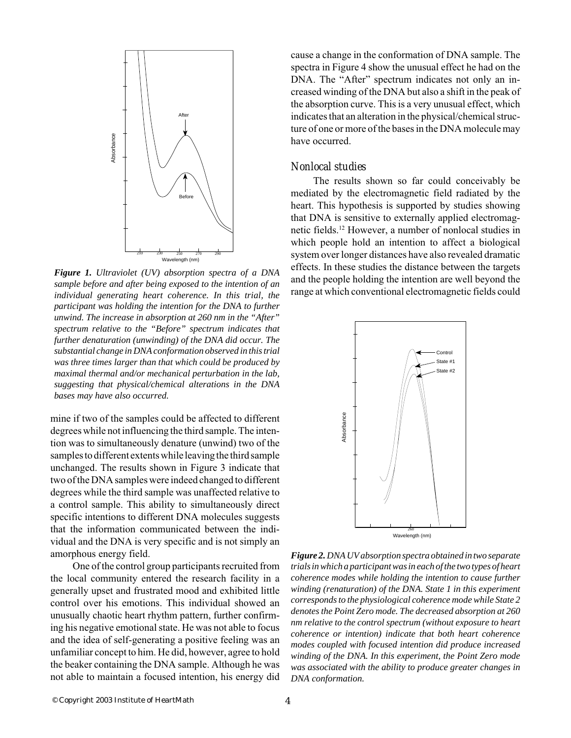

*Figure 1. Ultraviolet (UV) absorption spectra of a DNA sample before and after being exposed to the intention of an individual generating heart coherence. In this trial, the participant was holding the intention for the DNA to further unwind. The increase in absorption at 260 nm in the "After" spectrum relative to the "Before" spectrum indicates that further denaturation (unwinding) of the DNA did occur. The substantial change in DNA conformation observed in this trial was three times larger than that which could be produced by maximal thermal and/or mechanical perturbation in the lab, suggesting that physical/chemical alterations in the DNA bases may have also occurred.*

mine if two of the samples could be affected to different degrees while not influencing the third sample. The intention was to simultaneously denature (unwind) two of the samples to different extents while leaving the third sample unchanged. The results shown in Figure 3 indicate that two of the DNA samples were indeed changed to different degrees while the third sample was unaffected relative to a control sample. This ability to simultaneously direct specific intentions to different DNA molecules suggests that the information communicated between the individual and the DNA is very specific and is not simply an amorphous energy field.

One of the control group participants recruited from the local community entered the research facility in a generally upset and frustrated mood and exhibited little control over his emotions. This individual showed an unusually chaotic heart rhythm pattern, further confirming his negative emotional state. He was not able to focus and the idea of self-generating a positive feeling was an unfamiliar concept to him. He did, however, agree to hold the beaker containing the DNA sample. Although he was not able to maintain a focused intention, his energy did

cause a change in the conformation of DNA sample. The spectra in Figure 4 show the unusual effect he had on the DNA. The "After" spectrum indicates not only an increased winding of the DNA but also a shift in the peak of the absorption curve. This is a very unusual effect, which indicates that an alteration in the physical/chemical structure of one or more of the bases in the DNA molecule may have occurred.

### *Nonlocal studies*

The results shown so far could conceivably be mediated by the electromagnetic field radiated by the heart. This hypothesis is supported by studies showing that DNA is sensitive to externally applied electromagnetic fields.12 However, a number of nonlocal studies in which people hold an intention to affect a biological system over longer distances have also revealed dramatic effects. In these studies the distance between the targets and the people holding the intention are well beyond the range at which conventional electromagnetic fields could



*Figure 2. DNA UV absorption spectra obtained in two separate trials in which a participant was in each of the two types of heart coherence modes while holding the intention to cause further winding (renaturation) of the DNA. State 1 in this experiment corresponds to the physiological coherence mode while State 2 denotes the Point Zero mode. The decreased absorption at 260 nm relative to the control spectrum (without exposure to heart coherence or intention) indicate that both heart coherence modes coupled with focused intention did produce increased winding of the DNA. In this experiment, the Point Zero mode was associated with the ability to produce greater changes in DNA conformation.*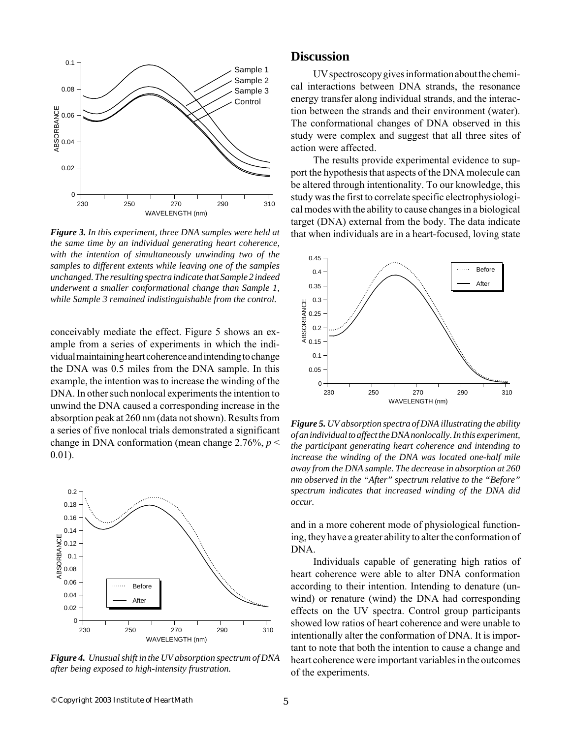

*Figure 3. In this experiment, three DNA samples were held at the same time by an individual generating heart coherence, with the intention of simultaneously unwinding two of the samples to different extents while leaving one of the samples unchanged. The resulting spectra indicate that Sample 2 indeed underwent a smaller conformational change than Sample 1, while Sample 3 remained indistinguishable from the control.*

conceivably mediate the effect. Figure 5 shows an example from a series of experiments in which the individual maintaining heart coherence and intending to change the DNA was 0.5 miles from the DNA sample. In this example, the intention was to increase the winding of the DNA. In other such nonlocal experiments the intention to unwind the DNA caused a corresponding increase in the absorption peak at 260 nm (data not shown). Results from a series of five nonlocal trials demonstrated a significant change in DNA conformation (mean change 2.76%, *p* < 0.01).



*Figure 4. Unusual shift in the UV absorption spectrum of DNA after being exposed to high-intensity frustration.*

## **Discussion**

UV spectroscopy gives information about the chemical interactions between DNA strands, the resonance energy transfer along individual strands, and the interaction between the strands and their environment (water). The conformational changes of DNA observed in this study were complex and suggest that all three sites of action were affected.

The results provide experimental evidence to support the hypothesis that aspects of the DNA molecule can be altered through intentionality. To our knowledge, this study was the first to correlate specific electrophysiological modes with the ability to cause changes in a biological target (DNA) external from the body. The data indicate that when individuals are in a heart-focused, loving state



*Figure 5. UV absorption spectra of DNA illustrating the ability of an individual to affect the DNA nonlocally. In this experiment, the participant generating heart coherence and intending to increase the winding of the DNA was located one-half mile away from the DNA sample. The decrease in absorption at 260 nm observed in the "After" spectrum relative to the "Before" spectrum indicates that increased winding of the DNA did occur.*

and in a more coherent mode of physiological functioning, they have a greater ability to alter the conformation of DNA.

Individuals capable of generating high ratios of heart coherence were able to alter DNA conformation according to their intention. Intending to denature (unwind) or renature (wind) the DNA had corresponding effects on the UV spectra. Control group participants showed low ratios of heart coherence and were unable to intentionally alter the conformation of DNA. It is important to note that both the intention to cause a change and heart coherence were important variables in the outcomes of the experiments.